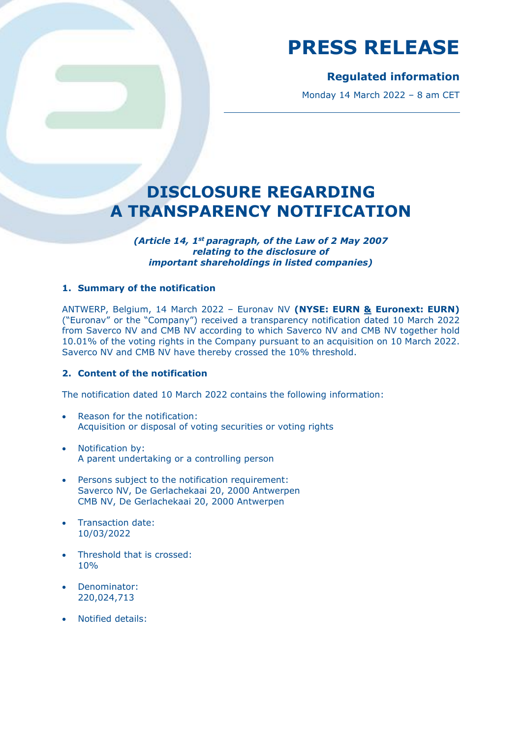## **Regulated information**

Monday 14 March 2022 – 8 am CET

## **DISCLOSURE REGARDING A TRANSPARENCY NOTIFICATION**

*(Article 14, 1st paragraph, of the Law of 2 May 2007 relating to the disclosure of important shareholdings in listed companies)*

### **1. Summary of the notification**

ANTWERP, Belgium, 14 March 2022 – Euronav NV **(NYSE: EURN & Euronext: EURN)** ("Euronav" or the "Company") received a transparency notification dated 10 March 2022 from Saverco NV and CMB NV according to which Saverco NV and CMB NV together hold 10.01% of the voting rights in the Company pursuant to an acquisition on 10 March 2022. Saverco NV and CMB NV have thereby crossed the 10% threshold.

#### **2. Content of the notification**

The notification dated 10 March 2022 contains the following information:

- Reason for the notification: Acquisition or disposal of voting securities or voting rights
- Notification by: A parent undertaking or a controlling person
- Persons subject to the notification requirement: Saverco NV, De Gerlachekaai 20, 2000 Antwerpen CMB NV, De Gerlachekaai 20, 2000 Antwerpen
- Transaction date: 10/03/2022
- Threshold that is crossed: 10%
- Denominator: 220,024,713
- Notified details: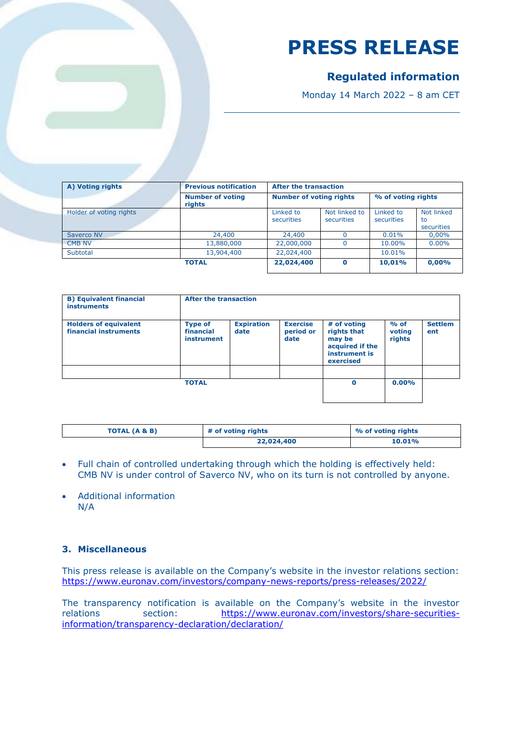## **Regulated information**

Monday 14 March 2022 – 8 am CET

| A) Voting rights        | <b>Previous notification</b>      | <b>After the transaction</b>   |                             |                         |                                |
|-------------------------|-----------------------------------|--------------------------------|-----------------------------|-------------------------|--------------------------------|
|                         | <b>Number of voting</b><br>rights | <b>Number of voting rights</b> |                             | % of voting rights      |                                |
| Holder of voting rights |                                   | Linked to<br>securities        | Not linked to<br>securities | Linked to<br>securities | Not linked<br>to<br>securities |
| Saverco NV              | 24,400                            | 24,400                         |                             | 0.01%                   | 0,00%                          |
| <b>CMB NV</b>           | 13,880,000                        | 22,000,000                     |                             | 10.00%                  | $0.00\%$                       |
| Subtotal                | 13,904,400                        | 22,024,400                     |                             | 10.01%                  |                                |
|                         | <b>TOTAL</b>                      | 22,024,400                     | $\Omega$                    | 10.01%                  | 0.00%                          |

| After the transaction                                                                 |                            |                       |  |  |
|---------------------------------------------------------------------------------------|----------------------------|-----------------------|--|--|
| # of voting<br>rights that<br>may be<br>acquired if the<br>instrument is<br>exercised | $%$ of<br>voting<br>rights | <b>Settlem</b><br>ent |  |  |
|                                                                                       |                            |                       |  |  |
|                                                                                       | $\bf{0}$                   | 0.00%                 |  |  |

| TOTAL (A & B) | # of voting rights | % of voting rights |  |
|---------------|--------------------|--------------------|--|
|               | 22,024,400         | $10.01\%$          |  |

- Full chain of controlled undertaking through which the holding is effectively held: CMB NV is under control of Saverco NV, who on its turn is not controlled by anyone.
- Additional information N/A

### **3. Miscellaneous**

This press release is available on the Company's website in the investor relations section: <https://www.euronav.com/investors/company-news-reports/press-releases/2022/>

The transparency notification is available on the Company's website in the investor relations section: [https://www.euronav.com/investors/share-securities](https://www.euronav.com/investors/share-securities-information/transparency-declaration/declaration/)[information/transparency-declaration/declaration/](https://www.euronav.com/investors/share-securities-information/transparency-declaration/declaration/)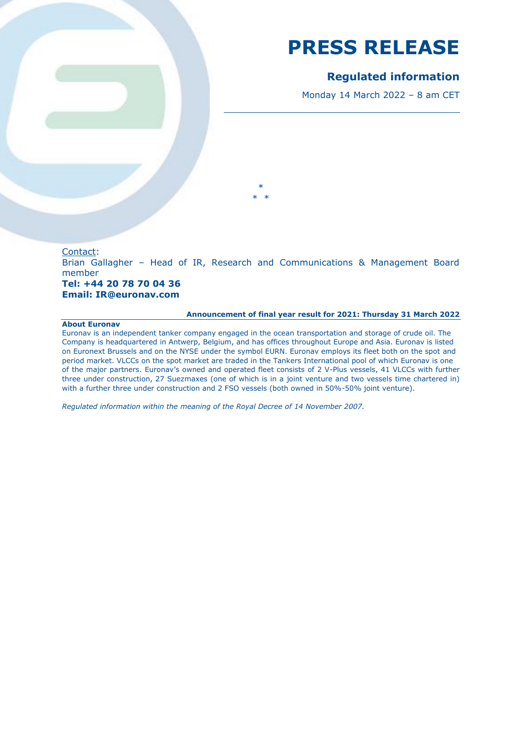## **Regulated information**

Monday 14 March 2022 – 8 am CET

#### Contact:

Brian Gallagher – Head of IR, Research and Communications & Management Board member and the contract of the contract of the contract of the contract of the contract of the contract of the

\*  $\rightarrow$ 

#### **Tel: +44 20 78 70 04 36 Email: IR@euronav.com**

#### **Announcement of final year result for 2021: Thursday 31 March 2022**

#### **About Euronav**

Euronav is an independent tanker company engaged in the ocean transportation and storage of crude oil. The Company is headquartered in Antwerp, Belgium, and has offices throughout Europe and Asia. Euronav is listed on Euronext Brussels and on the NYSE under the symbol EURN. Euronav employs its fleet both on the spot and period market. VLCCs on the spot market are traded in the Tankers International pool of which Euronav is one of the major partners. Euronav's owned and operated fleet consists of 2 V-Plus vessels, 41 VLCCs with further three under construction, 27 Suezmaxes (one of which is in a joint venture and two vessels time chartered in) with a further three under construction and 2 FSO vessels (both owned in 50%-50% joint venture).

*Regulated information within the meaning of the Royal Decree of 14 November 2007.*